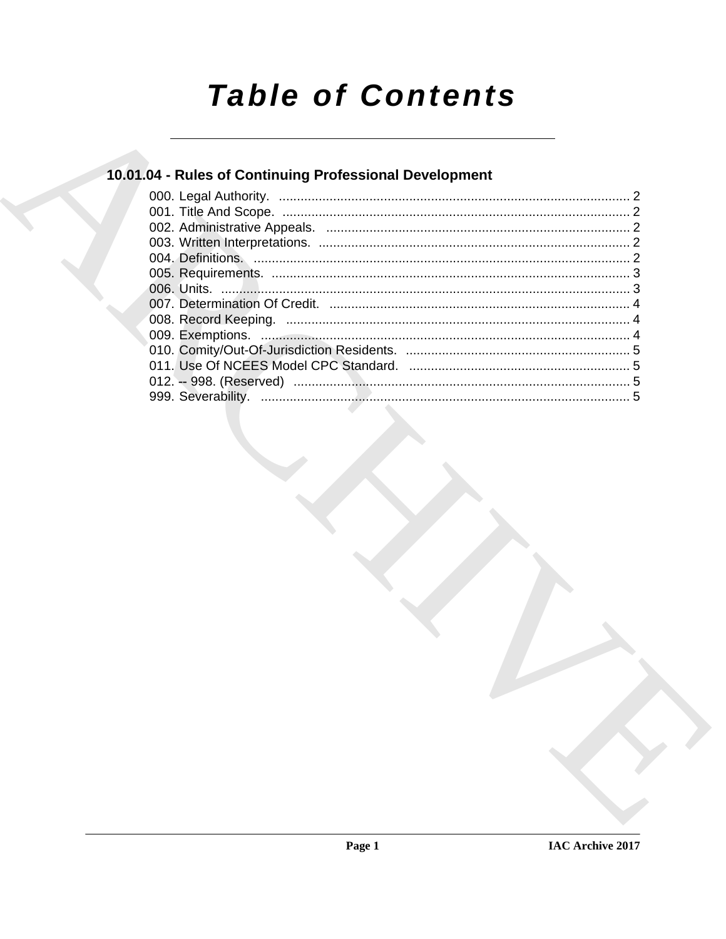# **Table of Contents**

## 10.01.04 - Rules of Continuing Professional Development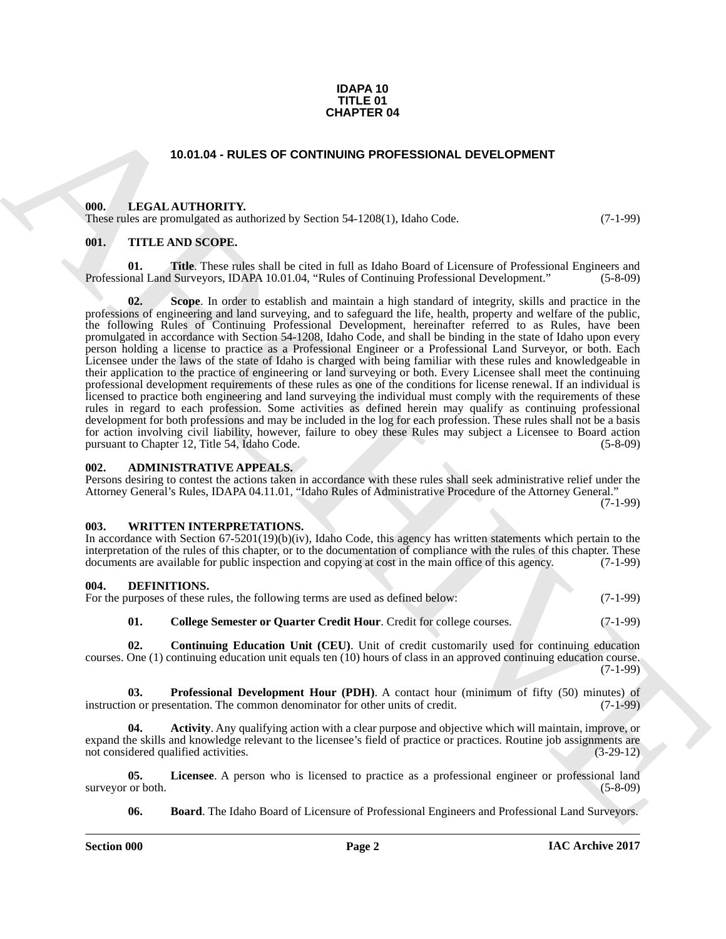#### **IDAPA 10 TITLE 01 CHAPTER 04**

#### **10.01.04 - RULES OF CONTINUING PROFESSIONAL DEVELOPMENT**

#### <span id="page-1-1"></span><span id="page-1-0"></span>**000. LEGAL AUTHORITY.**

These rules are promulgated as authorized by Section 54-1208(1), Idaho Code. (7-1-99)

#### <span id="page-1-2"></span>**001. TITLE AND SCOPE.**

**01. Title**. These rules shall be cited in full as Idaho Board of Licensure of Professional Engineers and Professional Land Surveyors, IDAPA 10.01.04, "Rules of Continuing Professional Development." (5-8-09)

**CHAPTER 04**<br>
10.01.04 - RULES OF CONTINUMO PROFESSIONAL DEVELOPMENT<br>
10.01.14 - RULE AND SCOPE<br>
10.01.14 - THE LAND SCOPE<br>
10.01.14 - THE LAND SCOPE<br>
10.14 - THE LAND SCOPE<br>
10.14 - THE LAND SCOPE<br>
10.14 - THE LAND SCOPE **02. Scope**. In order to establish and maintain a high standard of integrity, skills and practice in the professions of engineering and land surveying, and to safeguard the life, health, property and welfare of the public, the following Rules of Continuing Professional Development, hereinafter referred to as Rules, have been promulgated in accordance with Section 54-1208, Idaho Code, and shall be binding in the state of Idaho upon every person holding a license to practice as a Professional Engineer or a Professional Land Surveyor, or both. Each Licensee under the laws of the state of Idaho is charged with being familiar with these rules and knowledgeable in their application to the practice of engineering or land surveying or both. Every Licensee shall meet the continuing professional development requirements of these rules as one of the conditions for license renewal. If an individual is licensed to practice both engineering and land surveying the individual must comply with the requirements of these rules in regard to each profession. Some activities as defined herein may qualify as continuing professional development for both professions and may be included in the log for each profession. These rules shall not be a basis for action involving civil liability, however, failure to obey these Rules may subject a Licensee to Board action pursuant to Chapter 12, Title 54, Idaho Code. (5-8-09) pursuant to Chapter 12, Title 54, Idaho Code.

#### <span id="page-1-3"></span>**002. ADMINISTRATIVE APPEALS.**

Persons desiring to contest the actions taken in accordance with these rules shall seek administrative relief under the Attorney General's Rules, IDAPA 04.11.01, "Idaho Rules of Administrative Procedure of the Attorney General."

(7-1-99)

#### <span id="page-1-4"></span>**003. WRITTEN INTERPRETATIONS.**

In accordance with Section 67-5201(19)(b)(iv), Idaho Code, this agency has written statements which pertain to the interpretation of the rules of this chapter, or to the documentation of compliance with the rules of this chapter. These documents are available for public inspection and copying at cost in the main office of this agency. (7-1-99)

## <span id="page-1-6"></span><span id="page-1-5"></span>**004. DEFINITIONS.**<br>For the nurnoses of these r

<span id="page-1-9"></span>

| For the purposes of these rules, the following terms are used as defined below: | $(7-1-99)$ |
|---------------------------------------------------------------------------------|------------|
| College Semester or Quarter Credit Hour. Credit for college courses.            | $(7-1-99)$ |

<span id="page-1-10"></span>**02. Continuing Education Unit (CEU)**. Unit of credit customarily used for continuing education courses. One (1) continuing education unit equals ten (10) hours of class in an approved continuing education course. (7-1-99)

<span id="page-1-12"></span>**03. Professional Development Hour (PDH)**. A contact hour (minimum of fifty (50) minutes) of on or presentation. The common denominator for other units of credit. (7-1-99) instruction or presentation. The common denominator for other units of credit.

<span id="page-1-7"></span>**04. Activity**. Any qualifying action with a clear purpose and objective which will maintain, improve, or expand the skills and knowledge relevant to the licensee's field of practice or practices. Routine job assignments are not considered qualified activities. not considered qualified activities.

**05.** Licensee. A person who is licensed to practice as a professional engineer or professional land or both.  $(5-8-09)$ surveyor or both.

<span id="page-1-11"></span><span id="page-1-8"></span>**06. Board**. The Idaho Board of Licensure of Professional Engineers and Professional Land Surveyors.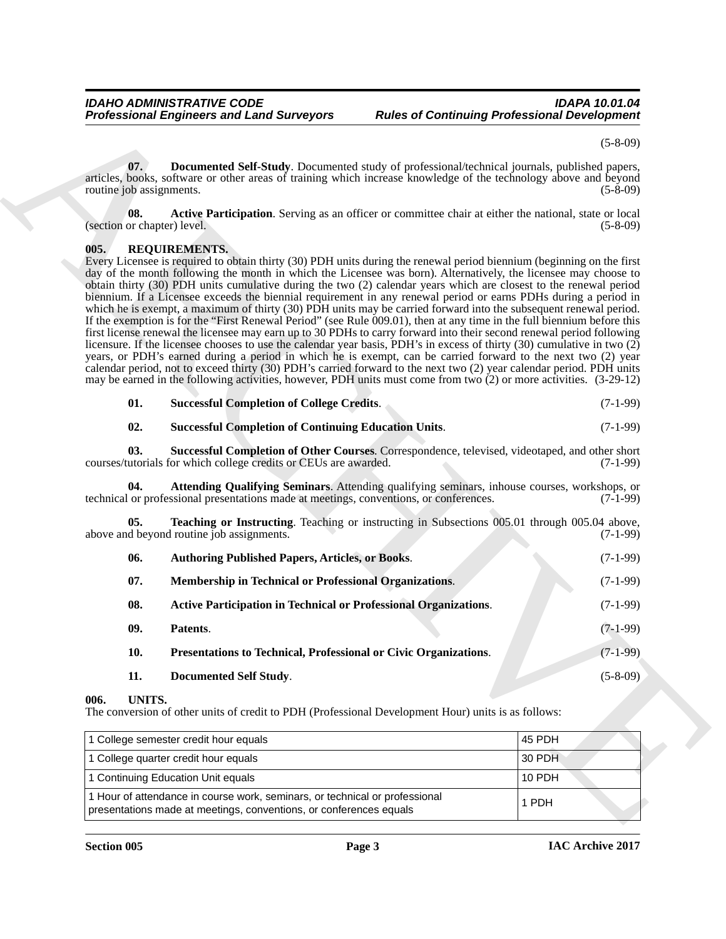(5-8-09)

<span id="page-2-3"></span>**07. Documented Self-Study**. Documented study of professional/technical journals, published papers, articles, books, software or other areas of training which increase knowledge of the technology above and beyond routine job assignments. (5-8-09)

<span id="page-2-2"></span>**08.** Active Participation. Serving as an officer or committee chair at either the national, state or local (section or chapter) level. (5-8-09) (5-8-09)

#### <span id="page-2-4"></span><span id="page-2-0"></span>**005. REQUIREMENTS.**

Professional Emplement and Land Surveyors Rudes of Community Professional Development<br>
Subsection Surveyors Rudes of Communications of the control of the control of the Computer of the Community of the Community of the Co Every Licensee is required to obtain thirty (30) PDH units during the renewal period biennium (beginning on the first day of the month following the month in which the Licensee was born). Alternatively, the licensee may choose to obtain thirty (30) PDH units cumulative during the two (2) calendar years which are closest to the renewal period biennium. If a Licensee exceeds the biennial requirement in any renewal period or earns PDHs during a period in which he is exempt, a maximum of thirty (30) PDH units may be carried forward into the subsequent renewal period. If the exemption is for the "First Renewal Period" (see Rule 009.01), then at any time in the full biennium before this first license renewal the licensee may earn up to 30 PDHs to carry forward into their second renewal period following licensure. If the licensee chooses to use the calendar year basis, PDH's in excess of thirty (30) cumulative in two (2) years, or PDH's earned during a period in which he is exempt, can be carried forward to the next two (2) year calendar period, not to exceed thirty (30) PDH's carried forward to the next two (2) year calendar period. PDH units may be earned in the following activities, however, PDH units must come from two (2) or more activities. (3-29-12)

<span id="page-2-12"></span>

| 01. | <b>Successful Completion of College Credits.</b> | $(7-1-99)$ |
|-----|--------------------------------------------------|------------|
|-----|--------------------------------------------------|------------|

<span id="page-2-14"></span><span id="page-2-13"></span><span id="page-2-6"></span>

| 02. | <b>Successful Completion of Continuing Education Units.</b> | $(7-1-99)$ |
|-----|-------------------------------------------------------------|------------|
|-----|-------------------------------------------------------------|------------|

**03.** Successful Completion of Other Courses. Correspondence, televised, videotaped, and other short utorials for which college credits or CEUs are awarded. (7-1-99) courses/tutorials for which college credits or CEUs are awarded.

**04. Attending Qualifying Seminars**. Attending qualifying seminars, inhouse courses, workshops, or technical or professional presentations made at meetings, conventions, or conferences. (7-1-99)

**Teaching or Instructing**. Teaching or instructing in Subsections 005.01 through 005.04 above, above and beyond routine job assignments. (7-1-99)

<span id="page-2-15"></span><span id="page-2-11"></span><span id="page-2-10"></span><span id="page-2-9"></span><span id="page-2-7"></span><span id="page-2-5"></span>

| 06. | <b>Authoring Published Papers, Articles, or Books.</b>                  | $(7-1-99)$     |
|-----|-------------------------------------------------------------------------|----------------|
| 07. | <b>Membership in Technical or Professional Organizations.</b>           | $(7-1-99)$     |
| 08. | <b>Active Participation in Technical or Professional Organizations.</b> | $(7-1-99)$     |
| 09. | Patents.                                                                | $(7-1-99)$     |
| 10. | Presentations to Technical, Professional or Civic Organizations.        | $(7-1-99)$     |
| 11. | Documented Self Study.                                                  | $(5 - 8 - 09)$ |

#### <span id="page-2-16"></span><span id="page-2-8"></span><span id="page-2-1"></span>**006. UNITS.**

The conversion of other units of credit to PDH (Professional Development Hour) units is as follows:

| 1 College semester credit hour equals                                                                                                             | 45 PDH |
|---------------------------------------------------------------------------------------------------------------------------------------------------|--------|
| 1 College quarter credit hour equals                                                                                                              | 30 PDH |
| 1 Continuing Education Unit equals                                                                                                                | 10 PDH |
| 1 Hour of attendance in course work, seminars, or technical or professional<br>presentations made at meetings, conventions, or conferences equals | 1 PDH  |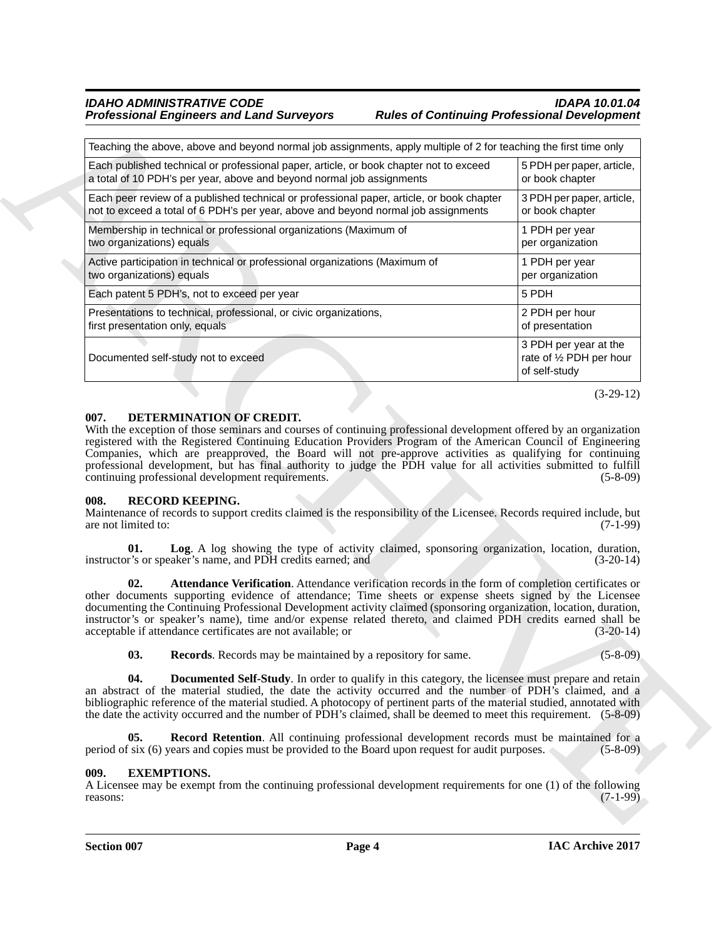#### *IDAHO ADMINISTRATIVE CODE IDAPA 10.01.04 Professional Engineers and Land Surveyors Rules of Continuing Professional Development*

| Teaching the above, above and beyond normal job assignments, apply multiple of 2 for teaching the first time only<br>Each published technical or professional paper, article, or book chapter not to exceed<br>a total of 10 PDH's per year, above and beyond normal job assignments<br>Each peer review of a published technical or professional paper, article, or book chapter<br>not to exceed a total of 6 PDH's per year, above and beyond normal job assignments<br>Membership in technical or professional organizations (Maximum of<br>two organizations) equals<br>Active participation in technical or professional organizations (Maximum of<br>two organizations) equals<br>Each patent 5 PDH's, not to exceed per year<br>Presentations to technical, professional, or civic organizations,<br>first presentation only, equals<br>Documented self-study not to exceed<br>DETERMINATION OF CREDIT.<br>007.<br>With the exception of those seminars and courses of continuing professional development offered by an organization<br>registered with the Registered Continuing Education Providers Program of the American Council of Engineering<br>Companies, which are preapproved, the Board will not pre-approve activities as qualifying for continuing<br>professional development, but has final authority to judge the PDH value for all activities submitted to fulfill<br>continuing professional development requirements.<br><b>RECORD KEEPING.</b><br>008.<br>Maintenance of records to support credits claimed is the responsibility of the Licensee. Records required include, but<br>are not limited to:<br>Log. A log showing the type of activity claimed, sponsoring organization, location, duration,<br>01.<br>instructor's or speaker's name, and PDH credits earned; and<br>Attendance Verification. Attendance verification records in the form of completion certificates or<br>02.<br>other documents supporting evidence of attendance; Time sheets or expense sheets signed by the Licensee<br>documenting the Continuing Professional Development activity claimed (sponsoring organization, location, duration,<br>instructor's or speaker's name), time and/or expense related thereto, and claimed PDH credits earned shall be<br>acceptable if attendance certificates are not available; or<br>03.<br>Records. Records may be maintained by a repository for same.<br>04.<br><b>Documented Self-Study</b> . In order to qualify in this category, the licensee must prepare and retain<br>an abstract of the material studied, the date the activity occurred and the number of PDH's claimed, and a | 5 PDH per paper, article,<br>or book chapter<br>3 PDH per paper, article,<br>or book chapter<br>1 PDH per year<br>per organization<br>1 PDH per year |
|-----------------------------------------------------------------------------------------------------------------------------------------------------------------------------------------------------------------------------------------------------------------------------------------------------------------------------------------------------------------------------------------------------------------------------------------------------------------------------------------------------------------------------------------------------------------------------------------------------------------------------------------------------------------------------------------------------------------------------------------------------------------------------------------------------------------------------------------------------------------------------------------------------------------------------------------------------------------------------------------------------------------------------------------------------------------------------------------------------------------------------------------------------------------------------------------------------------------------------------------------------------------------------------------------------------------------------------------------------------------------------------------------------------------------------------------------------------------------------------------------------------------------------------------------------------------------------------------------------------------------------------------------------------------------------------------------------------------------------------------------------------------------------------------------------------------------------------------------------------------------------------------------------------------------------------------------------------------------------------------------------------------------------------------------------------------------------------------------------------------------------------------------------------------------------------------------------------------------------------------------------------------------------------------------------------------------------------------------------------------------------------------------------------------------------------------------------------------------------------------------------------------------------------------------------------------------------------------------------------------------------------------------------|------------------------------------------------------------------------------------------------------------------------------------------------------|
|                                                                                                                                                                                                                                                                                                                                                                                                                                                                                                                                                                                                                                                                                                                                                                                                                                                                                                                                                                                                                                                                                                                                                                                                                                                                                                                                                                                                                                                                                                                                                                                                                                                                                                                                                                                                                                                                                                                                                                                                                                                                                                                                                                                                                                                                                                                                                                                                                                                                                                                                                                                                                                                     |                                                                                                                                                      |
|                                                                                                                                                                                                                                                                                                                                                                                                                                                                                                                                                                                                                                                                                                                                                                                                                                                                                                                                                                                                                                                                                                                                                                                                                                                                                                                                                                                                                                                                                                                                                                                                                                                                                                                                                                                                                                                                                                                                                                                                                                                                                                                                                                                                                                                                                                                                                                                                                                                                                                                                                                                                                                                     |                                                                                                                                                      |
|                                                                                                                                                                                                                                                                                                                                                                                                                                                                                                                                                                                                                                                                                                                                                                                                                                                                                                                                                                                                                                                                                                                                                                                                                                                                                                                                                                                                                                                                                                                                                                                                                                                                                                                                                                                                                                                                                                                                                                                                                                                                                                                                                                                                                                                                                                                                                                                                                                                                                                                                                                                                                                                     |                                                                                                                                                      |
|                                                                                                                                                                                                                                                                                                                                                                                                                                                                                                                                                                                                                                                                                                                                                                                                                                                                                                                                                                                                                                                                                                                                                                                                                                                                                                                                                                                                                                                                                                                                                                                                                                                                                                                                                                                                                                                                                                                                                                                                                                                                                                                                                                                                                                                                                                                                                                                                                                                                                                                                                                                                                                                     |                                                                                                                                                      |
|                                                                                                                                                                                                                                                                                                                                                                                                                                                                                                                                                                                                                                                                                                                                                                                                                                                                                                                                                                                                                                                                                                                                                                                                                                                                                                                                                                                                                                                                                                                                                                                                                                                                                                                                                                                                                                                                                                                                                                                                                                                                                                                                                                                                                                                                                                                                                                                                                                                                                                                                                                                                                                                     | per organization                                                                                                                                     |
|                                                                                                                                                                                                                                                                                                                                                                                                                                                                                                                                                                                                                                                                                                                                                                                                                                                                                                                                                                                                                                                                                                                                                                                                                                                                                                                                                                                                                                                                                                                                                                                                                                                                                                                                                                                                                                                                                                                                                                                                                                                                                                                                                                                                                                                                                                                                                                                                                                                                                                                                                                                                                                                     | 5 PDH                                                                                                                                                |
|                                                                                                                                                                                                                                                                                                                                                                                                                                                                                                                                                                                                                                                                                                                                                                                                                                                                                                                                                                                                                                                                                                                                                                                                                                                                                                                                                                                                                                                                                                                                                                                                                                                                                                                                                                                                                                                                                                                                                                                                                                                                                                                                                                                                                                                                                                                                                                                                                                                                                                                                                                                                                                                     | 2 PDH per hour<br>of presentation                                                                                                                    |
|                                                                                                                                                                                                                                                                                                                                                                                                                                                                                                                                                                                                                                                                                                                                                                                                                                                                                                                                                                                                                                                                                                                                                                                                                                                                                                                                                                                                                                                                                                                                                                                                                                                                                                                                                                                                                                                                                                                                                                                                                                                                                                                                                                                                                                                                                                                                                                                                                                                                                                                                                                                                                                                     | 3 PDH per year at the<br>rate of 1/2 PDH per hour<br>of self-study                                                                                   |
|                                                                                                                                                                                                                                                                                                                                                                                                                                                                                                                                                                                                                                                                                                                                                                                                                                                                                                                                                                                                                                                                                                                                                                                                                                                                                                                                                                                                                                                                                                                                                                                                                                                                                                                                                                                                                                                                                                                                                                                                                                                                                                                                                                                                                                                                                                                                                                                                                                                                                                                                                                                                                                                     | $(7-1-99)$<br>$(3-20-14)$<br>$(3-20-14)$                                                                                                             |
|                                                                                                                                                                                                                                                                                                                                                                                                                                                                                                                                                                                                                                                                                                                                                                                                                                                                                                                                                                                                                                                                                                                                                                                                                                                                                                                                                                                                                                                                                                                                                                                                                                                                                                                                                                                                                                                                                                                                                                                                                                                                                                                                                                                                                                                                                                                                                                                                                                                                                                                                                                                                                                                     | $(5 - 8 - 09)$                                                                                                                                       |
| bibliographic reference of the material studied. A photocopy of pertinent parts of the material studied, annotated with<br>the date the activity occurred and the number of PDH's claimed, shall be deemed to meet this requirement. (5-8-09)                                                                                                                                                                                                                                                                                                                                                                                                                                                                                                                                                                                                                                                                                                                                                                                                                                                                                                                                                                                                                                                                                                                                                                                                                                                                                                                                                                                                                                                                                                                                                                                                                                                                                                                                                                                                                                                                                                                                                                                                                                                                                                                                                                                                                                                                                                                                                                                                       |                                                                                                                                                      |
| 05.<br>Record Retention. All continuing professional development records must be maintained for a<br>period of six (6) years and copies must be provided to the Board upon request for audit purposes.                                                                                                                                                                                                                                                                                                                                                                                                                                                                                                                                                                                                                                                                                                                                                                                                                                                                                                                                                                                                                                                                                                                                                                                                                                                                                                                                                                                                                                                                                                                                                                                                                                                                                                                                                                                                                                                                                                                                                                                                                                                                                                                                                                                                                                                                                                                                                                                                                                              |                                                                                                                                                      |
| <b>EXEMPTIONS.</b><br>009.<br>A Licensee may be exempt from the continuing professional development requirements for one (1) of the following<br>reasons:                                                                                                                                                                                                                                                                                                                                                                                                                                                                                                                                                                                                                                                                                                                                                                                                                                                                                                                                                                                                                                                                                                                                                                                                                                                                                                                                                                                                                                                                                                                                                                                                                                                                                                                                                                                                                                                                                                                                                                                                                                                                                                                                                                                                                                                                                                                                                                                                                                                                                           | $(5-8-09)$                                                                                                                                           |

#### <span id="page-3-3"></span><span id="page-3-0"></span>**007. DETERMINATION OF CREDIT.**

#### <span id="page-3-8"></span><span id="page-3-6"></span><span id="page-3-5"></span><span id="page-3-1"></span>**008. RECORD KEEPING.**

#### <span id="page-3-10"></span><span id="page-3-9"></span><span id="page-3-7"></span><span id="page-3-4"></span><span id="page-3-2"></span>**009. EXEMPTIONS.**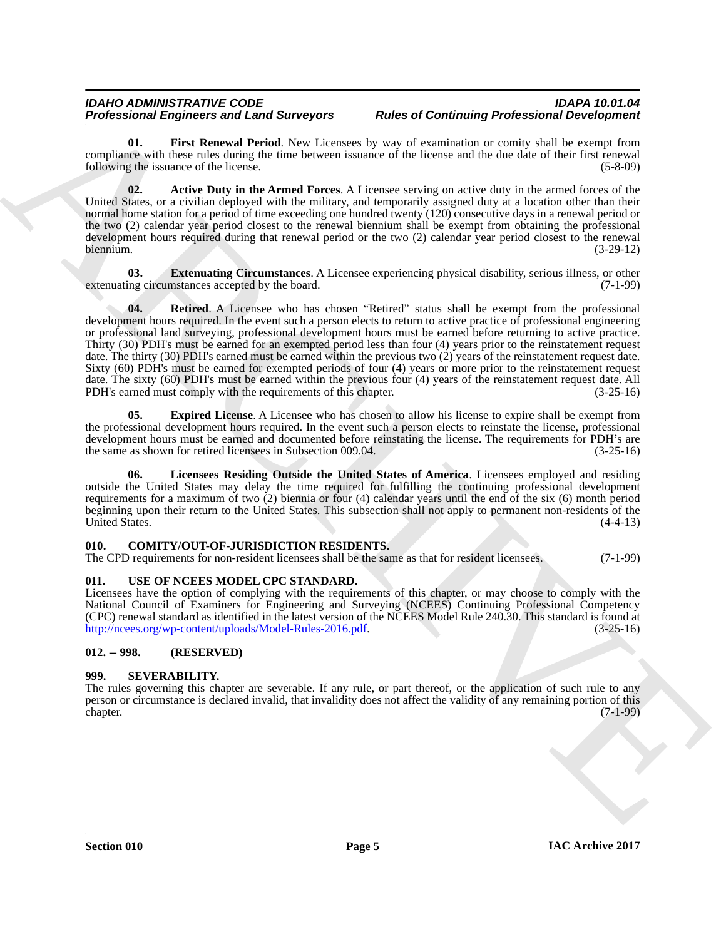<span id="page-4-8"></span>**01. First Renewal Period**. New Licensees by way of examination or comity shall be exempt from compliance with these rules during the time between issuance of the license and the due date of their first renewal following the issuance of the license. (5-8-09) following the issuance of the license.

<span id="page-4-5"></span>**02. Active Duty in the Armed Forces**. A Licensee serving on active duty in the armed forces of the United States, or a civilian deployed with the military, and temporarily assigned duty at a location other than their normal home station for a period of time exceeding one hundred twenty (120) consecutive days in a renewal period or the two (2) calendar year period closest to the renewal biennium shall be exempt from obtaining the professional development hours required during that renewal period or the two (2) calendar year period closest to the renewal biennium. (3-29-12)

<span id="page-4-10"></span><span id="page-4-7"></span>**03. Extenuating Circumstances**. A Licensee experiencing physical disability, serious illness, or other ing circumstances accepted by the board. (7-1-99) extenuating circumstances accepted by the board.

**Professional Employees and Learn Application and Determining Professional Constitution and Constitution Constitution and Constitution and Constitution and Constitution (EC) and Constitution (EC) and Constitution (EC) and 04.** Retired. A Licensee who has chosen "Retired" status shall be exempt from the professional development hours required. In the event such a person elects to return to active practice of professional engineering or professional land surveying, professional development hours must be earned before returning to active practice. Thirty (30) PDH's must be earned for an exempted period less than four (4) years prior to the reinstatement request date. The thirty (30) PDH's earned must be earned within the previous two (2) years of the reinstatement request date. Sixty (60) PDH's must be earned for exempted periods of four (4) years or more prior to the reinstatement request date. The sixty (60) PDH's must be earned within the previous four (4) years of the reinstatement request date. All<br>PDH's earned must comply with the requirements of this chapter. (3-25-16) PDH's earned must comply with the requirements of this chapter.

<span id="page-4-6"></span>**05. Expired License**. A Licensee who has chosen to allow his license to expire shall be exempt from the professional development hours required. In the event such a person elects to reinstate the license, professional development hours must be earned and documented before reinstating the license. The requirements for PDH's are the same as shown for retired licensees in Subsection 009.04. (3-25-16) the same as shown for retired licensees in Subsection 009.04.

<span id="page-4-9"></span>**06. Licensees Residing Outside the United States of America**. Licensees employed and residing outside the United States may delay the time required for fulfilling the continuing professional development requirements for a maximum of two (2) biennia or four (4) calendar years until the end of the six (6) month period beginning upon their return to the United States. This subsection shall not apply to permanent non-residents of the United States. (4-4-13) United States.

#### <span id="page-4-4"></span><span id="page-4-0"></span>**010. COMITY/OUT-OF-JURISDICTION RESIDENTS.**

The CPD requirements for non-resident licensees shall be the same as that for resident licensees. (7-1-99)

#### <span id="page-4-11"></span><span id="page-4-1"></span>**011. USE OF NCEES MODEL CPC STANDARD.**

Licensees have the option of complying with the requirements of this chapter, or may choose to comply with the National Council of Examiners for Engineering and Surveying (NCEES) Continuing Professional Competency (CPC) renewal standard as identified in the latest version of the NCEES Model Rule 240.30. This standard is found at http://ncees.org/wp-content/uploads/Model-Rules-2016.pdf. (3-25-16)

#### <span id="page-4-2"></span>**012. -- 998. (RESERVED)**

#### <span id="page-4-3"></span>**999. SEVERABILITY.**

The rules governing this chapter are severable. If any rule, or part thereof, or the application of such rule to any person or circumstance is declared invalid, that invalidity does not affect the validity of any remaining portion of this chapter. (7-1-99) chapter. (7-1-99)